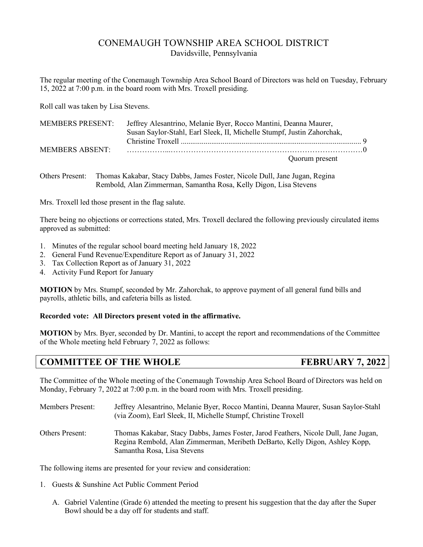# CONEMAUGH TOWNSHIP AREA SCHOOL DISTRICT Davidsville, Pennsylvania

The regular meeting of the Conemaugh Township Area School Board of Directors was held on Tuesday, February 15, 2022 at 7:00 p.m. in the board room with Mrs. Troxell presiding.

Roll call was taken by Lisa Stevens.

| MEMBERS PRESENT: Jeffrey Alesantrino, Melanie Byer, Rocco Mantini, Deanna Maurer, |  |
|-----------------------------------------------------------------------------------|--|
| Susan Saylor-Stahl, Earl Sleek, II, Michelle Stumpf, Justin Zahorchak,            |  |
|                                                                                   |  |
|                                                                                   |  |
| Quorum present                                                                    |  |

Others Present: Thomas Kakabar, Stacy Dabbs, James Foster, Nicole Dull, Jane Jugan, Regina Rembold, Alan Zimmerman, Samantha Rosa, Kelly Digon, Lisa Stevens

Mrs. Troxell led those present in the flag salute.

There being no objections or corrections stated, Mrs. Troxell declared the following previously circulated items approved as submitted:

- 1. Minutes of the regular school board meeting held January 18, 2022
- 2. General Fund Revenue/Expenditure Report as of January 31, 2022
- 3. Tax Collection Report as of January 31, 2022
- 4. Activity Fund Report for January

**MOTION** by Mrs. Stumpf, seconded by Mr. Zahorchak, to approve payment of all general fund bills and payrolls, athletic bills, and cafeteria bills as listed.

## **Recorded vote: All Directors present voted in the affirmative.**

**MOTION** by Mrs. Byer, seconded by Dr. Mantini, to accept the report and recommendations of the Committee of the Whole meeting held February 7, 2022 as follows:

# **COMMITTEE OF THE WHOLE FEBRUARY 7, 2022**

The Committee of the Whole meeting of the Conemaugh Township Area School Board of Directors was held on Monday, February 7, 2022 at 7:00 p.m. in the board room with Mrs. Troxell presiding.

Members Present: Jeffrey Alesantrino, Melanie Byer, Rocco Mantini, Deanna Maurer, Susan Saylor-Stahl (via Zoom), Earl Sleek, II, Michelle Stumpf, Christine Troxell Others Present: Thomas Kakabar, Stacy Dabbs, James Foster, Jarod Feathers, Nicole Dull, Jane Jugan, Regina Rembold, Alan Zimmerman, Meribeth DeBarto, Kelly Digon, Ashley Kopp, Samantha Rosa, Lisa Stevens

The following items are presented for your review and consideration:

- 1. Guests & Sunshine Act Public Comment Period
	- A. Gabriel Valentine (Grade 6) attended the meeting to present his suggestion that the day after the Super Bowl should be a day off for students and staff.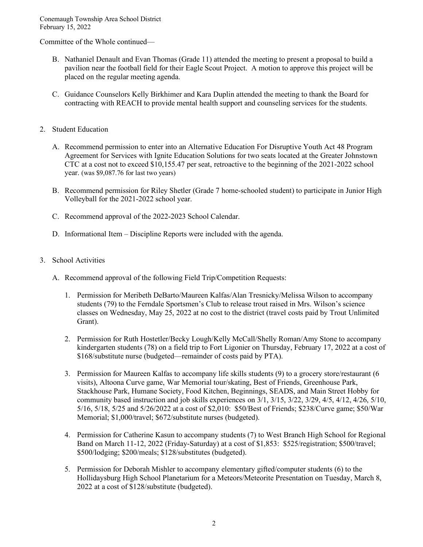Committee of the Whole continued—

- B. Nathaniel Denault and Evan Thomas (Grade 11) attended the meeting to present a proposal to build a pavilion near the football field for their Eagle Scout Project. A motion to approve this project will be placed on the regular meeting agenda.
- C. Guidance Counselors Kelly Birkhimer and Kara Duplin attended the meeting to thank the Board for contracting with REACH to provide mental health support and counseling services for the students.
- 2. Student Education
	- A. Recommend permission to enter into an Alternative Education For Disruptive Youth Act 48 Program Agreement for Services with Ignite Education Solutions for two seats located at the Greater Johnstown CTC at a cost not to exceed \$10,155.47 per seat, retroactive to the beginning of the 2021-2022 school year. (was \$9,087.76 for last two years)
	- B. Recommend permission for Riley Shetler (Grade 7 home-schooled student) to participate in Junior High Volleyball for the 2021-2022 school year.
	- C. Recommend approval of the 2022-2023 School Calendar.
	- D. Informational Item Discipline Reports were included with the agenda.
- 3. School Activities
	- A. Recommend approval of the following Field Trip/Competition Requests:
		- 1. Permission for Meribeth DeBarto/Maureen Kalfas/Alan Tresnicky/Melissa Wilson to accompany students (79) to the Ferndale Sportsmen's Club to release trout raised in Mrs. Wilson's science classes on Wednesday, May 25, 2022 at no cost to the district (travel costs paid by Trout Unlimited Grant).
		- 2. Permission for Ruth Hostetler/Becky Lough/Kelly McCall/Shelly Roman/Amy Stone to accompany kindergarten students (78) on a field trip to Fort Ligonier on Thursday, February 17, 2022 at a cost of \$168/substitute nurse (budgeted—remainder of costs paid by PTA).
		- 3. Permission for Maureen Kalfas to accompany life skills students (9) to a grocery store/restaurant (6 visits), Altoona Curve game, War Memorial tour/skating, Best of Friends, Greenhouse Park, Stackhouse Park, Humane Society, Food Kitchen, Beginnings, SEADS, and Main Street Hobby for community based instruction and job skills experiences on 3/1, 3/15, 3/22, 3/29, 4/5, 4/12, 4/26, 5/10, 5/16, 5/18, 5/25 and 5/26/2022 at a cost of \$2,010: \$50/Best of Friends; \$238/Curve game; \$50/War Memorial; \$1,000/travel; \$672/substitute nurses (budgeted).
		- 4. Permission for Catherine Kasun to accompany students (7) to West Branch High School for Regional Band on March 11-12, 2022 (Friday-Saturday) at a cost of \$1,853: \$525/registration; \$500/travel; \$500/lodging; \$200/meals; \$128/substitutes (budgeted).
		- 5. Permission for Deborah Mishler to accompany elementary gifted/computer students (6) to the Hollidaysburg High School Planetarium for a Meteors/Meteorite Presentation on Tuesday, March 8, 2022 at a cost of \$128/substitute (budgeted).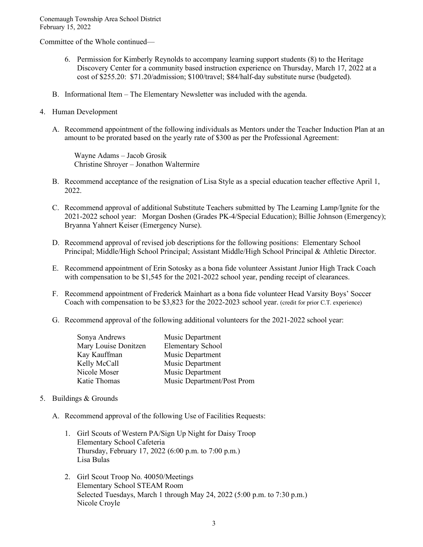Committee of the Whole continued—

- 6. Permission for Kimberly Reynolds to accompany learning support students (8) to the Heritage Discovery Center for a community based instruction experience on Thursday, March 17, 2022 at a cost of \$255.20: \$71.20/admission; \$100/travel; \$84/half-day substitute nurse (budgeted).
- B. Informational Item The Elementary Newsletter was included with the agenda.
- 4. Human Development
	- A. Recommend appointment of the following individuals as Mentors under the Teacher Induction Plan at an amount to be prorated based on the yearly rate of \$300 as per the Professional Agreement:

 Wayne Adams – Jacob Grosik Christine Shroyer – Jonathon Waltermire

- B. Recommend acceptance of the resignation of Lisa Style as a special education teacher effective April 1, 2022.
- C. Recommend approval of additional Substitute Teachers submitted by The Learning Lamp/Ignite for the 2021-2022 school year: Morgan Doshen (Grades PK-4/Special Education); Billie Johnson (Emergency); Bryanna Yahnert Keiser (Emergency Nurse).
- D. Recommend approval of revised job descriptions for the following positions: Elementary School Principal; Middle/High School Principal; Assistant Middle/High School Principal & Athletic Director.
- E. Recommend appointment of Erin Sotosky as a bona fide volunteer Assistant Junior High Track Coach with compensation to be \$1,545 for the 2021-2022 school year, pending receipt of clearances.
- F. Recommend appointment of Frederick Mainhart as a bona fide volunteer Head Varsity Boys' Soccer Coach with compensation to be \$3,823 for the 2022-2023 school year. (credit for prior C.T. experience)
- G. Recommend approval of the following additional volunteers for the 2021-2022 school year:

| Sonya Andrews        | Music Department           |
|----------------------|----------------------------|
| Mary Louise Donitzen | <b>Elementary School</b>   |
| Kay Kauffman         | Music Department           |
| Kelly McCall         | Music Department           |
| Nicole Moser         | Music Department           |
| Katie Thomas         | Music Department/Post Prom |

- 5. Buildings & Grounds
	- A. Recommend approval of the following Use of Facilities Requests:
		- 1. Girl Scouts of Western PA/Sign Up Night for Daisy Troop Elementary School Cafeteria Thursday, February 17, 2022 (6:00 p.m. to 7:00 p.m.) Lisa Bulas
		- 2. Girl Scout Troop No. 40050/Meetings Elementary School STEAM Room Selected Tuesdays, March 1 through May 24, 2022 (5:00 p.m. to 7:30 p.m.) Nicole Croyle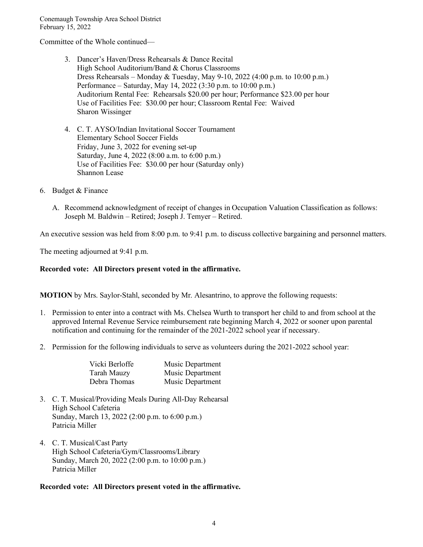Committee of the Whole continued—

- 3. Dancer's Haven/Dress Rehearsals & Dance Recital High School Auditorium/Band & Chorus Classrooms Dress Rehearsals – Monday & Tuesday, May 9-10, 2022 (4:00 p.m. to 10:00 p.m.) Performance – Saturday, May 14, 2022 (3:30 p.m. to 10:00 p.m.) Auditorium Rental Fee: Rehearsals \$20.00 per hour; Performance \$23.00 per hour Use of Facilities Fee: \$30.00 per hour; Classroom Rental Fee: Waived Sharon Wissinger
- 4. C. T. AYSO/Indian Invitational Soccer Tournament Elementary School Soccer Fields Friday, June 3, 2022 for evening set-up Saturday, June 4, 2022 (8:00 a.m. to 6:00 p.m.) Use of Facilities Fee: \$30.00 per hour (Saturday only) Shannon Lease
- 6. Budget & Finance
	- A. Recommend acknowledgment of receipt of changes in Occupation Valuation Classification as follows: Joseph M. Baldwin – Retired; Joseph J. Temyer – Retired.

An executive session was held from 8:00 p.m. to 9:41 p.m. to discuss collective bargaining and personnel matters.

The meeting adjourned at 9:41 p.m.

#### **Recorded vote: All Directors present voted in the affirmative.**

**MOTION** by Mrs. Saylor-Stahl, seconded by Mr. Alesantrino, to approve the following requests:

- 1. Permission to enter into a contract with Ms. Chelsea Wurth to transport her child to and from school at the approved Internal Revenue Service reimbursement rate beginning March 4, 2022 or sooner upon parental notification and continuing for the remainder of the 2021-2022 school year if necessary.
- 2. Permission for the following individuals to serve as volunteers during the 2021-2022 school year:

| Vicki Berloffe     | Music Department |
|--------------------|------------------|
| <b>Tarah Mauzy</b> | Music Department |
| Debra Thomas       | Music Department |

- 3. C. T. Musical/Providing Meals During All-Day Rehearsal High School Cafeteria Sunday, March 13, 2022 (2:00 p.m. to 6:00 p.m.) Patricia Miller
- 4. C. T. Musical/Cast Party High School Cafeteria/Gym/Classrooms/Library Sunday, March 20, 2022 (2:00 p.m. to 10:00 p.m.) Patricia Miller

## **Recorded vote: All Directors present voted in the affirmative.**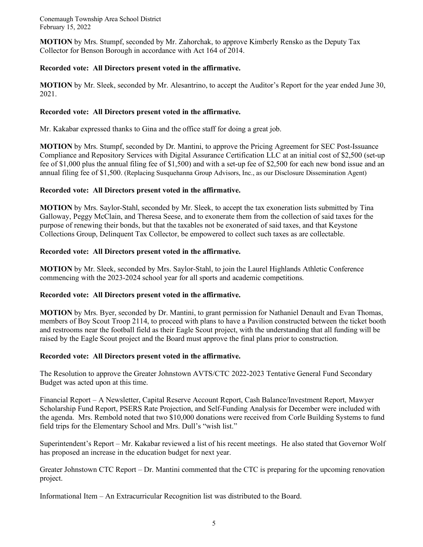**MOTION** by Mrs. Stumpf, seconded by Mr. Zahorchak, to approve Kimberly Rensko as the Deputy Tax Collector for Benson Borough in accordance with Act 164 of 2014.

# **Recorded vote: All Directors present voted in the affirmative.**

**MOTION** by Mr. Sleek, seconded by Mr. Alesantrino, to accept the Auditor's Report for the year ended June 30, 2021.

# **Recorded vote: All Directors present voted in the affirmative.**

Mr. Kakabar expressed thanks to Gina and the office staff for doing a great job.

**MOTION** by Mrs. Stumpf, seconded by Dr. Mantini, to approve the Pricing Agreement for SEC Post-Issuance Compliance and Repository Services with Digital Assurance Certification LLC at an initial cost of \$2,500 (set-up fee of \$1,000 plus the annual filing fee of \$1,500) and with a set-up fee of \$2,500 for each new bond issue and an annual filing fee of \$1,500. (Replacing Susquehanna Group Advisors, Inc., as our Disclosure Dissemination Agent)

# **Recorded vote: All Directors present voted in the affirmative.**

**MOTION** by Mrs. Saylor-Stahl, seconded by Mr. Sleek, to accept the tax exoneration lists submitted by Tina Galloway, Peggy McClain, and Theresa Seese, and to exonerate them from the collection of said taxes for the purpose of renewing their bonds, but that the taxables not be exonerated of said taxes, and that Keystone Collections Group, Delinquent Tax Collector, be empowered to collect such taxes as are collectable.

# **Recorded vote: All Directors present voted in the affirmative.**

**MOTION** by Mr. Sleek, seconded by Mrs. Saylor-Stahl, to join the Laurel Highlands Athletic Conference commencing with the 2023-2024 school year for all sports and academic competitions.

## **Recorded vote: All Directors present voted in the affirmative.**

**MOTION** by Mrs. Byer, seconded by Dr. Mantini, to grant permission for Nathaniel Denault and Evan Thomas, members of Boy Scout Troop 2114, to proceed with plans to have a Pavilion constructed between the ticket booth and restrooms near the football field as their Eagle Scout project, with the understanding that all funding will be raised by the Eagle Scout project and the Board must approve the final plans prior to construction.

## **Recorded vote: All Directors present voted in the affirmative.**

The Resolution to approve the Greater Johnstown AVTS/CTC 2022-2023 Tentative General Fund Secondary Budget was acted upon at this time.

Financial Report – A Newsletter, Capital Reserve Account Report, Cash Balance/Investment Report, Mawyer Scholarship Fund Report, PSERS Rate Projection, and Self-Funding Analysis for December were included with the agenda. Mrs. Rembold noted that two \$10,000 donations were received from Corle Building Systems to fund field trips for the Elementary School and Mrs. Dull's "wish list."

Superintendent's Report – Mr. Kakabar reviewed a list of his recent meetings. He also stated that Governor Wolf has proposed an increase in the education budget for next year.

Greater Johnstown CTC Report – Dr. Mantini commented that the CTC is preparing for the upcoming renovation project.

Informational Item – An Extracurricular Recognition list was distributed to the Board.